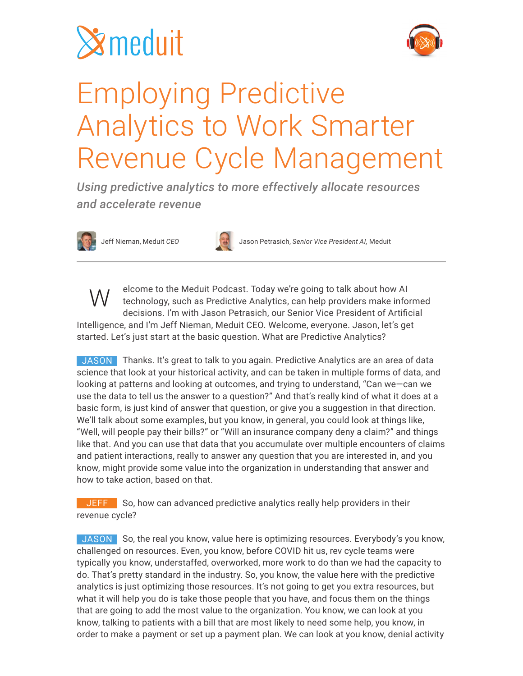



### Employing Predictive Analytics to Work Smarter Revenue Cycle Management

*Using predictive analytics to more effectively allocate resources and accelerate revenue*





Jeff Nieman, Meduit *CEO* Jason Petrasich, *Senior Vice President AI,* Meduit

elcome to the Meduit Podcast. Today we're going to talk about how AI technology, such as Predictive Analytics, can help providers make informed decisions. I'm with Jason Petrasich, our Senior Vice President of Artificial Intelligence, and I'm Jeff Nieman, Meduit CEO. Welcome, everyone. Jason, let's get started. Let's just start at the basic question. What are Predictive Analytics? W

JASON Thanks. It's great to talk to you again. Predictive Analytics are an area of data science that look at your historical activity, and can be taken in multiple forms of data, and looking at patterns and looking at outcomes, and trying to understand, "Can we—can we use the data to tell us the answer to a question?" And that's really kind of what it does at a basic form, is just kind of answer that question, or give you a suggestion in that direction. We'll talk about some examples, but you know, in general, you could look at things like, "Well, will people pay their bills?" or "Will an insurance company deny a claim?" and things like that. And you can use that data that you accumulate over multiple encounters of claims and patient interactions, really to answer any question that you are interested in, and you know, might provide some value into the organization in understanding that answer and how to take action, based on that.

JEFF So, how can advanced predictive analytics really help providers in their revenue cycle?

JASON So, the real you know, value here is optimizing resources. Everybody's you know, challenged on resources. Even, you know, before COVID hit us, rev cycle teams were typically you know, understaffed, overworked, more work to do than we had the capacity to do. That's pretty standard in the industry. So, you know, the value here with the predictive analytics is just optimizing those resources. It's not going to get you extra resources, but what it will help you do is take those people that you have, and focus them on the things that are going to add the most value to the organization. You know, we can look at you know, talking to patients with a bill that are most likely to need some help, you know, in order to make a payment or set up a payment plan. We can look at you know, denial activity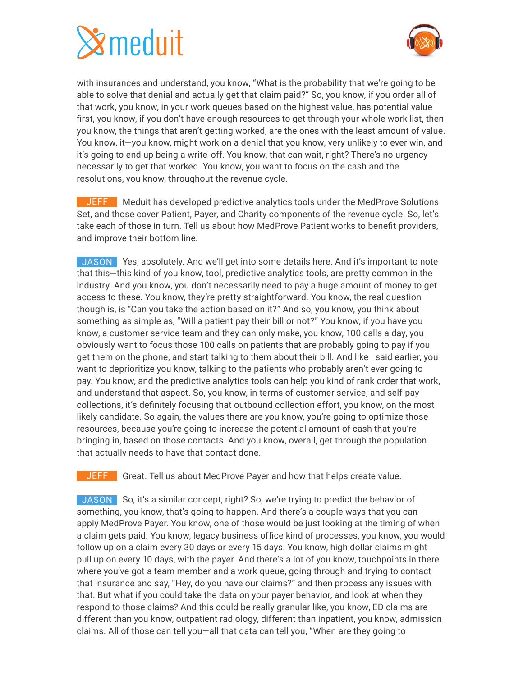# $\mathbf{\hat{x}}$ meduit



with insurances and understand, you know, "What is the probability that we're going to be able to solve that denial and actually get that claim paid?" So, you know, if you order all of that work, you know, in your work queues based on the highest value, has potential value first, you know, if you don't have enough resources to get through your whole work list, then you know, the things that aren't getting worked, are the ones with the least amount of value. You know, it—you know, might work on a denial that you know, very unlikely to ever win, and it's going to end up being a write-off. You know, that can wait, right? There's no urgency necessarily to get that worked. You know, you want to focus on the cash and the resolutions, you know, throughout the revenue cycle.

JEFF Meduit has developed predictive analytics tools under the MedProve Solutions Set, and those cover Patient, Payer, and Charity components of the revenue cycle. So, let's take each of those in turn. Tell us about how MedProve Patient works to benefit providers, and improve their bottom line.

JASON Yes, absolutely. And we'll get into some details here. And it's important to note that this—this kind of you know, tool, predictive analytics tools, are pretty common in the industry. And you know, you don't necessarily need to pay a huge amount of money to get access to these. You know, they're pretty straightforward. You know, the real question though is, is "Can you take the action based on it?" And so, you know, you think about something as simple as, "Will a patient pay their bill or not?" You know, if you have you know, a customer service team and they can only make, you know, 100 calls a day, you obviously want to focus those 100 calls on patients that are probably going to pay if you get them on the phone, and start talking to them about their bill. And like I said earlier, you want to deprioritize you know, talking to the patients who probably aren't ever going to pay. You know, and the predictive analytics tools can help you kind of rank order that work, and understand that aspect. So, you know, in terms of customer service, and self-pay collections, it's definitely focusing that outbound collection effort, you know, on the most likely candidate. So again, the values there are you know, you're going to optimize those resources, because you're going to increase the potential amount of cash that you're bringing in, based on those contacts. And you know, overall, get through the population that actually needs to have that contact done.

JEFF Great. Tell us about MedProve Payer and how that helps create value.

JASON So, it's a similar concept, right? So, we're trying to predict the behavior of something, you know, that's going to happen. And there's a couple ways that you can apply MedProve Payer. You know, one of those would be just looking at the timing of when a claim gets paid. You know, legacy business office kind of processes, you know, you would follow up on a claim every 30 days or every 15 days. You know, high dollar claims might pull up on every 10 days, with the payer. And there's a lot of you know, touchpoints in there where you've got a team member and a work queue, going through and trying to contact that insurance and say, "Hey, do you have our claims?" and then process any issues with that. But what if you could take the data on your payer behavior, and look at when they respond to those claims? And this could be really granular like, you know, ED claims are different than you know, outpatient radiology, different than inpatient, you know, admission claims. All of those can tell you—all that data can tell you, "When are they going to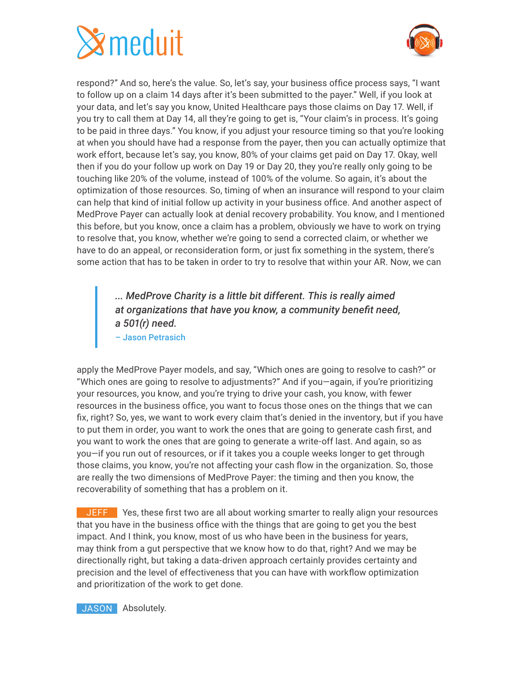



respond?" And so, here's the value. So, let's say, your business office process says, "I want to follow up on a claim 14 days after it's been submitted to the payer." Well, if you look at your data, and let's say you know, United Healthcare pays those claims on Day 17. Well, if you try to call them at Day 14, all they're going to get is, "Your claim's in process. It's going to be paid in three days." You know, if you adjust your resource timing so that you're looking at when you should have had a response from the payer, then you can actually optimize that work effort, because let's say, you know, 80% of your claims get paid on Day 17. Okay, well then if you do your follow up work on Day 19 or Day 20, they you're really only going to be touching like 20% of the volume, instead of 100% of the volume. So again, it's about the optimization of those resources. So, timing of when an insurance will respond to your claim can help that kind of initial follow up activity in your business office. And another aspect of MedProve Payer can actually look at denial recovery probability. You know, and I mentioned this before, but you know, once a claim has a problem, obviously we have to work on trying to resolve that, you know, whether we're going to send a corrected claim, or whether we have to do an appeal, or reconsideration form, or just fix something in the system, there's some action that has to be taken in order to try to resolve that within your AR. Now, we can

> *... MedProve Charity is a little bit different. This is really aimed at organizations that have you know, a community benefit need, a 501(r) need.* – Jason Petrasich

apply the MedProve Payer models, and say, "Which ones are going to resolve to cash?" or "Which ones are going to resolve to adjustments?" And if you—again, if you're prioritizing your resources, you know, and you're trying to drive your cash, you know, with fewer resources in the business office, you want to focus those ones on the things that we can fix, right? So, yes, we want to work every claim that's denied in the inventory, but if you have to put them in order, you want to work the ones that are going to generate cash first, and you want to work the ones that are going to generate a write-off last. And again, so as you—if you run out of resources, or if it takes you a couple weeks longer to get through those claims, you know, you're not affecting your cash flow in the organization. So, those are really the two dimensions of MedProve Payer: the timing and then you know, the recoverability of something that has a problem on it.

JEFF Yes, these first two are all about working smarter to really align your resources that you have in the business office with the things that are going to get you the best impact. And I think, you know, most of us who have been in the business for years, may think from a gut perspective that we know how to do that, right? And we may be directionally right, but taking a data-driven approach certainly provides certainty and precision and the level of effectiveness that you can have with workflow optimization and prioritization of the work to get done.

**JASON** Absolutely.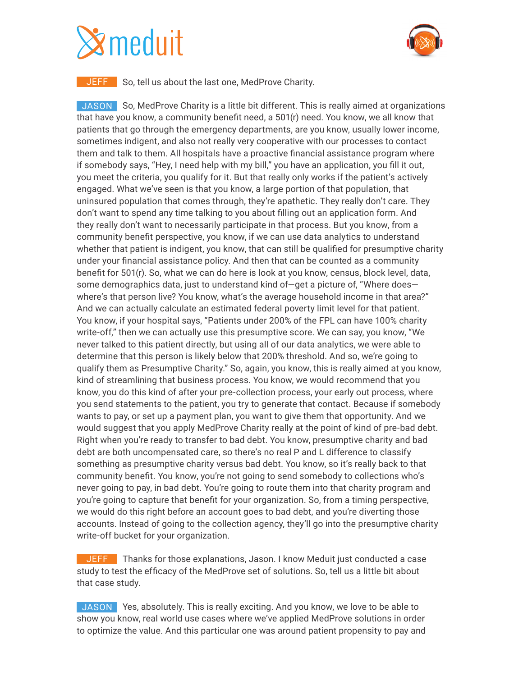## $\mathbf{\hat{z}}$ meduit



**JEFF** So, tell us about the last one, MedProve Charity.

JASON So, MedProve Charity is a little bit different. This is really aimed at organizations that have you know, a community benefit need, a 501(r) need. You know, we all know that patients that go through the emergency departments, are you know, usually lower income, sometimes indigent, and also not really very cooperative with our processes to contact them and talk to them. All hospitals have a proactive financial assistance program where if somebody says, "Hey, I need help with my bill," you have an application, you fill it out, you meet the criteria, you qualify for it. But that really only works if the patient's actively engaged. What we've seen is that you know, a large portion of that population, that uninsured population that comes through, they're apathetic. They really don't care. They don't want to spend any time talking to you about filling out an application form. And they really don't want to necessarily participate in that process. But you know, from a community benefit perspective, you know, if we can use data analytics to understand whether that patient is indigent, you know, that can still be qualified for presumptive charity under your financial assistance policy. And then that can be counted as a community benefit for 501(r). So, what we can do here is look at you know, census, block level, data, some demographics data, just to understand kind of-get a picture of, "Where doeswhere's that person live? You know, what's the average household income in that area?" And we can actually calculate an estimated federal poverty limit level for that patient. You know, if your hospital says, "Patients under 200% of the FPL can have 100% charity write-off," then we can actually use this presumptive score. We can say, you know, "We never talked to this patient directly, but using all of our data analytics, we were able to determine that this person is likely below that 200% threshold. And so, we're going to qualify them as Presumptive Charity." So, again, you know, this is really aimed at you know, kind of streamlining that business process. You know, we would recommend that you know, you do this kind of after your pre-collection process, your early out process, where you send statements to the patient, you try to generate that contact. Because if somebody wants to pay, or set up a payment plan, you want to give them that opportunity. And we would suggest that you apply MedProve Charity really at the point of kind of pre-bad debt. Right when you're ready to transfer to bad debt. You know, presumptive charity and bad debt are both uncompensated care, so there's no real P and L difference to classify something as presumptive charity versus bad debt. You know, so it's really back to that community benefit. You know, you're not going to send somebody to collections who's never going to pay, in bad debt. You're going to route them into that charity program and you're going to capture that benefit for your organization. So, from a timing perspective, we would do this right before an account goes to bad debt, and you're diverting those accounts. Instead of going to the collection agency, they'll go into the presumptive charity write-off bucket for your organization.

**JEFF** Thanks for those explanations, Jason. I know Meduit just conducted a case study to test the efficacy of the MedProve set of solutions. So, tell us a little bit about that case study.

JASON Yes, absolutely. This is really exciting. And you know, we love to be able to show you know, real world use cases where we've applied MedProve solutions in order to optimize the value. And this particular one was around patient propensity to pay and